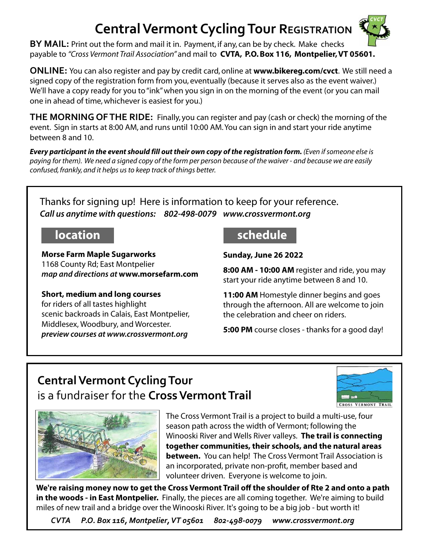# **Central Vermont Cycling Tour REGISTRATION**



**BY MAIL:** Print out the form and mail it in. Payment, if any, can be by check. Make checks payable to *"Cross Vermont Trail Association"* and mail to **CVTA, P.O. Box 116, Montpelier, VT 05601.** .

**ONLINE:** You can also register and pay by credit card, online at **www.bikereg.com/cvct**. We still need a signed copy of the registration form from you, eventually (because it serves also as the event waiver.) We'll have a copy ready for you to "ink" when you sign in on the morning of the event (or you can mail one in ahead of time, whichever is easiest for you.)

**THE MORNING OF THE RIDE:** Finally, you can register and pay (cash or check) the morning of the event. Sign in starts at 8:00 AM, and runs until 10:00 AM. You can sign in and start your ride anytime between 8 and 10.

*Every participant in the event should fill out their own copy of the registration form. (Even if someone else is paying for them). We need a signed copy of the form per person because of the waiver - and because we are easily confused, frankly, and it helps us to keep track of things better.*

Thanks for signing up! Here is information to keep for your reference. *Call us anytime with questions: 802-498-0079 www.crossvermont.org*

**Morse Farm Maple Sugarworks** 1168 County Rd; East Montpelier *map and directions at* **www.morsefarm.com**

### **Short, medium and long courses** for riders of all tastes highlight scenic backroads in Calais, East Montpelier, Middlesex, Woodbury, and Worcester. *preview courses at www.crossvermont.org*

## **location**

**Sunday, June 26 2022**

**8:00 AM - 10:00 AM** register and ride, you may start your ride anytime between 8 and 10.

**11:00 AM** Homestyle dinner begins and goes through the afternoon. All are welcome to join the celebration and cheer on riders.

**5:00 PM** course closes - thanks for a good day!

## **Central Vermont Cycling Tour**  is a fundraiser for the **Cross Vermont Trail**





The Cross Vermont Trail is a project to build a multi-use, four season path across the width of Vermont; following the Winooski River and Wells River valleys. **The trail is connecting together communities, their schools, and the natural areas between.** You can help! The Cross Vermont Trail Association is an incorporated, private non-profit, member based and volunteer driven. Everyone is welcome to join.

We're raising money now to get the Cross Vermont Trail off the shoulder of Rte 2 and onto a path **in the woods - in East Montpelier.** Finally, the pieces are all coming together. We're aiming to build miles of new trail and a bridge over the Winooski River. It's going to be a big job - but worth it!

*CVTA P.O. Box 116, Montpelier, VT 05601 802-498-0079 www.crossvermont.org*